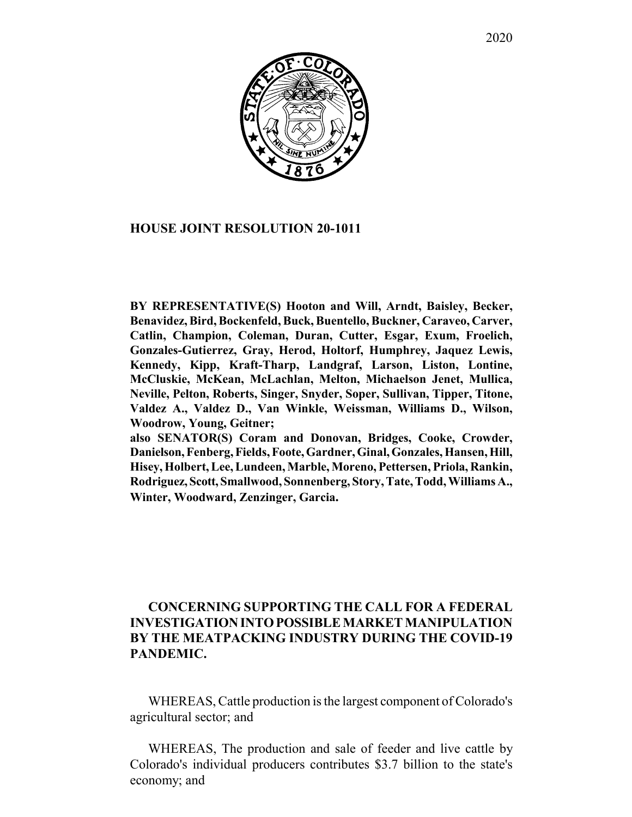

## **HOUSE JOINT RESOLUTION 20-1011**

**BY REPRESENTATIVE(S) Hooton and Will, Arndt, Baisley, Becker, Benavidez, Bird, Bockenfeld, Buck, Buentello, Buckner, Caraveo, Carver, Catlin, Champion, Coleman, Duran, Cutter, Esgar, Exum, Froelich, Gonzales-Gutierrez, Gray, Herod, Holtorf, Humphrey, Jaquez Lewis, Kennedy, Kipp, Kraft-Tharp, Landgraf, Larson, Liston, Lontine, McCluskie, McKean, McLachlan, Melton, Michaelson Jenet, Mullica, Neville, Pelton, Roberts, Singer, Snyder, Soper, Sullivan, Tipper, Titone, Valdez A., Valdez D., Van Winkle, Weissman, Williams D., Wilson, Woodrow, Young, Geitner;**

**also SENATOR(S) Coram and Donovan, Bridges, Cooke, Crowder, Danielson, Fenberg, Fields, Foote, Gardner, Ginal, Gonzales, Hansen, Hill, Hisey, Holbert, Lee, Lundeen, Marble, Moreno, Pettersen, Priola, Rankin, Rodriguez, Scott, Smallwood, Sonnenberg, Story, Tate, Todd, Williams A., Winter, Woodward, Zenzinger, Garcia.**

## **CONCERNING SUPPORTING THE CALL FOR A FEDERAL INVESTIGATION INTO POSSIBLE MARKET MANIPULATION BY THE MEATPACKING INDUSTRY DURING THE COVID-19 PANDEMIC.**

WHEREAS, Cattle production is the largest component of Colorado's agricultural sector; and

WHEREAS, The production and sale of feeder and live cattle by Colorado's individual producers contributes \$3.7 billion to the state's economy; and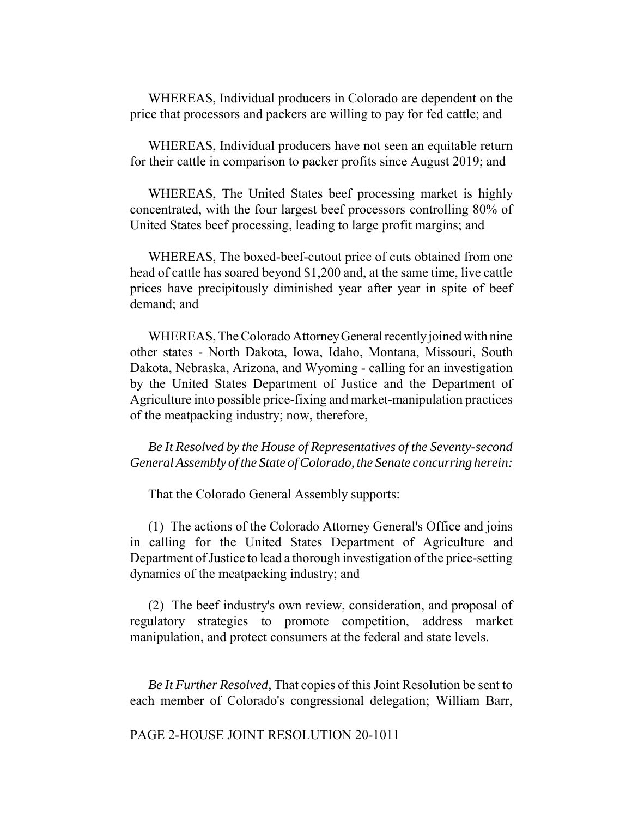WHEREAS, Individual producers in Colorado are dependent on the price that processors and packers are willing to pay for fed cattle; and

WHEREAS, Individual producers have not seen an equitable return for their cattle in comparison to packer profits since August 2019; and

WHEREAS, The United States beef processing market is highly concentrated, with the four largest beef processors controlling 80% of United States beef processing, leading to large profit margins; and

WHEREAS, The boxed-beef-cutout price of cuts obtained from one head of cattle has soared beyond \$1,200 and, at the same time, live cattle prices have precipitously diminished year after year in spite of beef demand; and

WHEREAS, The Colorado Attorney General recently joined with nine other states - North Dakota, Iowa, Idaho, Montana, Missouri, South Dakota, Nebraska, Arizona, and Wyoming - calling for an investigation by the United States Department of Justice and the Department of Agriculture into possible price-fixing and market-manipulation practices of the meatpacking industry; now, therefore,

*Be It Resolved by the House of Representatives of the Seventy-second General Assembly of the State of Colorado, the Senate concurring herein:*

That the Colorado General Assembly supports:

(1) The actions of the Colorado Attorney General's Office and joins in calling for the United States Department of Agriculture and Department of Justice to lead a thorough investigation of the price-setting dynamics of the meatpacking industry; and

(2) The beef industry's own review, consideration, and proposal of regulatory strategies to promote competition, address market manipulation, and protect consumers at the federal and state levels.

*Be It Further Resolved,* That copies of this Joint Resolution be sent to each member of Colorado's congressional delegation; William Barr,

PAGE 2-HOUSE JOINT RESOLUTION 20-1011